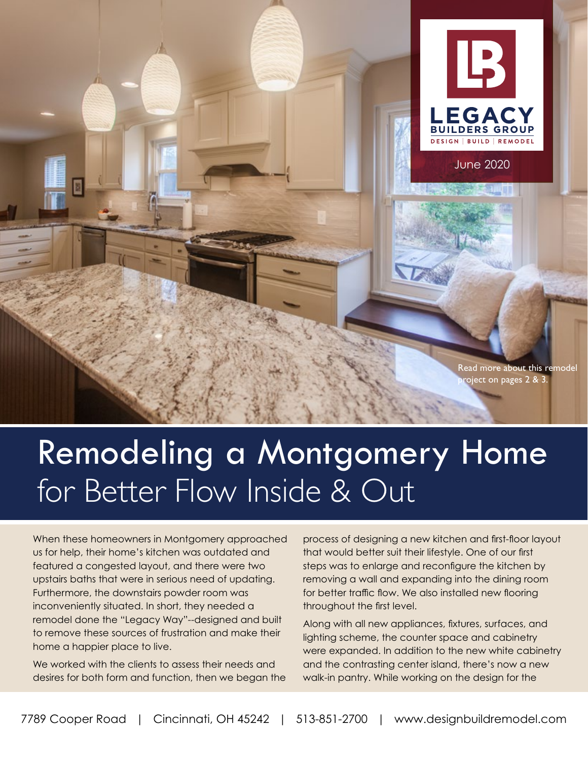

June 2020

**LEGACY BUILDERS GROUP DESIGN | BUILD | REMODEL** 

# Remodeling a Montgomery Home for Better Flow Inside & Out

When these homeowners in Montgomery approached us for help, their home's kitchen was outdated and featured a congested layout, and there were two upstairs baths that were in serious need of updating. Furthermore, the downstairs powder room was inconveniently situated. In short, they needed a remodel done the "Legacy Way"--designed and built to remove these sources of frustration and make their home a happier place to live.

We worked with the clients to assess their needs and desires for both form and function, then we began the

process of designing a new kitchen and first-floor layout that would better suit their lifestyle. One of our first steps was to enlarge and reconfigure the kitchen by removing a wall and expanding into the dining room for better traffic flow. We also installed new flooring throughout the first level.

Along with all new appliances, fixtures, surfaces, and lighting scheme, the counter space and cabinetry were expanded. In addition to the new white cabinetry and the contrasting center island, there's now a new walk-in pantry. While working on the design for the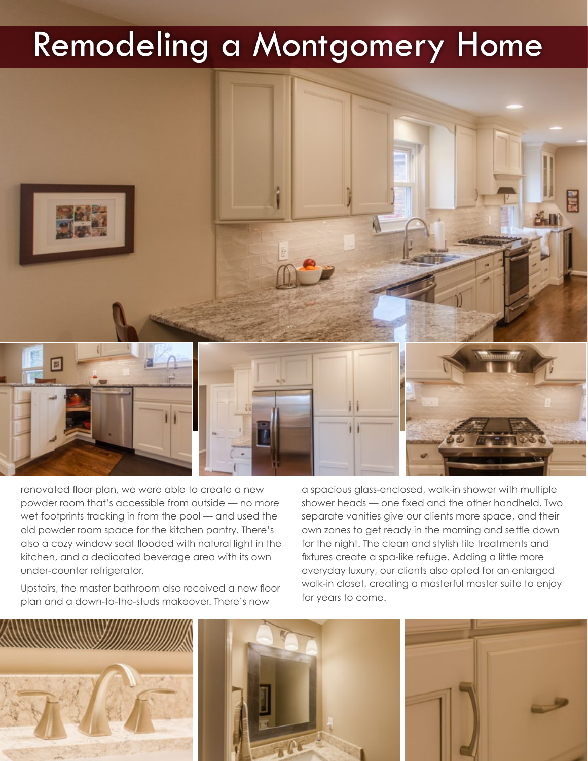## Remodeling a Montgomery Home



renovated floor plan, we were able to create a new powder room that's accessible from outside — no more wet footprints tracking in from the pool — and used the old powder room space for the kitchen pantry. There's also a cozy window seat flooded with natural light in the kitchen, and a dedicated beverage area with its own under-counter refrigerator.

Upstairs, the master bathroom also received a new floor plan and a down-to-the-studs makeover. There's now

a spacious glass-enclosed, walk-in shower with multiple shower heads — one fixed and the other handheld. Two separate vanities give our clients more space, and their own zones to get ready in the morning and settle down for the night. The clean and stylish tile treatments and fixtures create a spa-like refuge. Adding a little more everyday luxury, our clients also opted for an enlarged walk-in closet, creating a masterful master suite to enjoy for years to come.

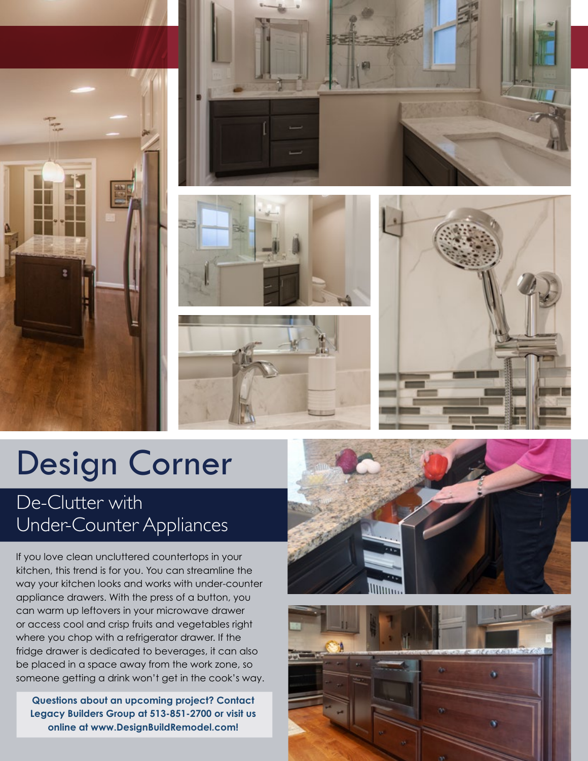









## Design Corner

### De-Clutter with Under-Counter Appliances

If you love clean uncluttered countertops in your kitchen, this trend is for you. You can streamline the way your kitchen looks and works with under-counter appliance drawers. With the press of a button, you can warm up leftovers in your microwave drawer or access cool and crisp fruits and vegetables right where you chop with a refrigerator drawer. If the fridge drawer is dedicated to beverages, it can also be placed in a space away from the work zone, so someone getting a drink won't get in the cook's way.

**Questions about an upcoming project? Contact Legacy Builders Group at 513-851-2700 or visit us online at www.DesignBuildRemodel.com!**